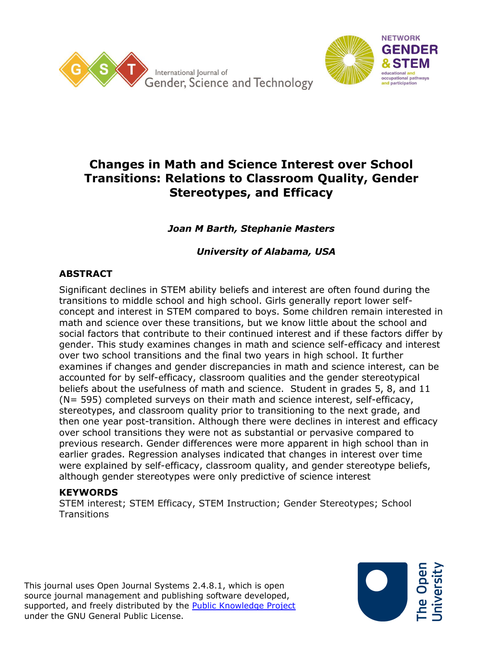



# **Changes in Math and Science Interest over School Transitions: Relations to Classroom Quality, Gender Stereotypes, and Efficacy**

*Joan M Barth, Stephanie Masters*

*University of Alabama, USA*

# **ABSTRACT**

Significant declines in STEM ability beliefs and interest are often found during the transitions to middle school and high school. Girls generally report lower selfconcept and interest in STEM compared to boys. Some children remain interested in math and science over these transitions, but we know little about the school and social factors that contribute to their continued interest and if these factors differ by gender. This study examines changes in math and science self-efficacy and interest over two school transitions and the final two years in high school. It further examines if changes and gender discrepancies in math and science interest, can be accounted for by self-efficacy, classroom qualities and the gender stereotypical beliefs about the usefulness of math and science. Student in grades 5, 8, and 11 (N= 595) completed surveys on their math and science interest, self-efficacy, stereotypes, and classroom quality prior to transitioning to the next grade, and then one year post-transition. Although there were declines in interest and efficacy over school transitions they were not as substantial or pervasive compared to previous research. Gender differences were more apparent in high school than in earlier grades. Regression analyses indicated that changes in interest over time were explained by self-efficacy, classroom quality, and gender stereotype beliefs, although gender stereotypes were only predictive of science interest

# **KEYWORDS**

STEM interest; STEM Efficacy, STEM Instruction; Gender Stereotypes; School **Transitions** 

This journal uses Open Journal Systems 2.4.8.1, which is open source journal management and publishing software developed, supported, and freely distributed by the [Public Knowledge Project](http://pkp.sfu.ca/) under the GNU General Public License.

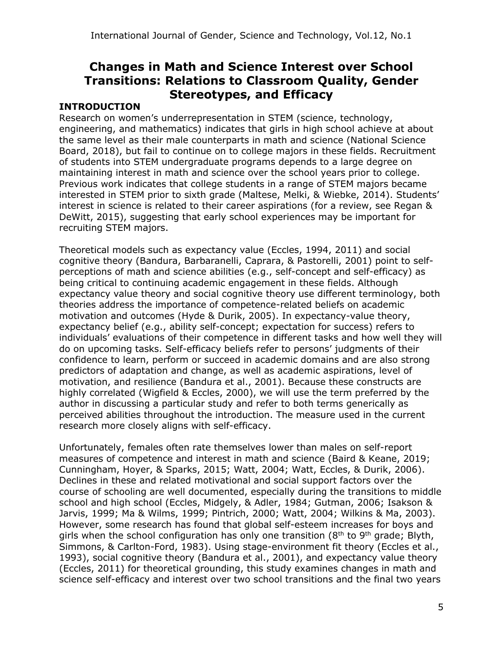# **Changes in Math and Science Interest over School Transitions: Relations to Classroom Quality, Gender Stereotypes, and Efficacy**

#### **INTRODUCTION**

Research on women's underrepresentation in STEM (science, technology, engineering, and mathematics) indicates that girls in high school achieve at about the same level as their male counterparts in math and science (National Science Board, 2018), but fail to continue on to college majors in these fields. Recruitment of students into STEM undergraduate programs depends to a large degree on maintaining interest in math and science over the school years prior to college. Previous work indicates that college students in a range of STEM majors became interested in STEM prior to sixth grade (Maltese, Melki, & Wiebke, 2014). Students' interest in science is related to their career aspirations (for a review, see Regan & DeWitt, 2015), suggesting that early school experiences may be important for recruiting STEM majors.

Theoretical models such as expectancy value (Eccles, 1994, 2011) and social cognitive theory (Bandura, Barbaranelli, Caprara, & Pastorelli, 2001) point to selfperceptions of math and science abilities (e.g., self-concept and self-efficacy) as being critical to continuing academic engagement in these fields. Although expectancy value theory and social cognitive theory use different terminology, both theories address the importance of competence-related beliefs on academic motivation and outcomes (Hyde & Durik, 2005). In expectancy-value theory, expectancy belief (e.g., ability self-concept; expectation for success) refers to individuals' evaluations of their competence in different tasks and how well they will do on upcoming tasks. Self-efficacy beliefs refer to persons' judgments of their confidence to learn, perform or succeed in academic domains and are also strong predictors of adaptation and change, as well as academic aspirations, level of motivation, and resilience (Bandura et al., 2001). Because these constructs are highly correlated (Wigfield & Eccles, 2000), we will use the term preferred by the author in discussing a particular study and refer to both terms generically as perceived abilities throughout the introduction. The measure used in the current research more closely aligns with self-efficacy.

Unfortunately, females often rate themselves lower than males on self-report measures of competence and interest in math and science (Baird & Keane, 2019; Cunningham, Hoyer, & Sparks, 2015; Watt, 2004; Watt, Eccles, & Durik, 2006). Declines in these and related motivational and social support factors over the course of schooling are well documented, especially during the transitions to middle school and high school (Eccles, Midgely, & Adler, 1984; Gutman, 2006; Isakson & Jarvis, 1999; Ma & Wilms, 1999; Pintrich, 2000; Watt, 2004; Wilkins & Ma, 2003). However, some research has found that global self-esteem increases for boys and girls when the school configuration has only one transition ( $8<sup>th</sup>$  to  $9<sup>th</sup>$  grade; Blyth, Simmons, & Carlton-Ford, 1983). Using stage-environment fit theory (Eccles et al., 1993), social cognitive theory (Bandura et al., 2001), and expectancy value theory (Eccles, 2011) for theoretical grounding, this study examines changes in math and science self-efficacy and interest over two school transitions and the final two years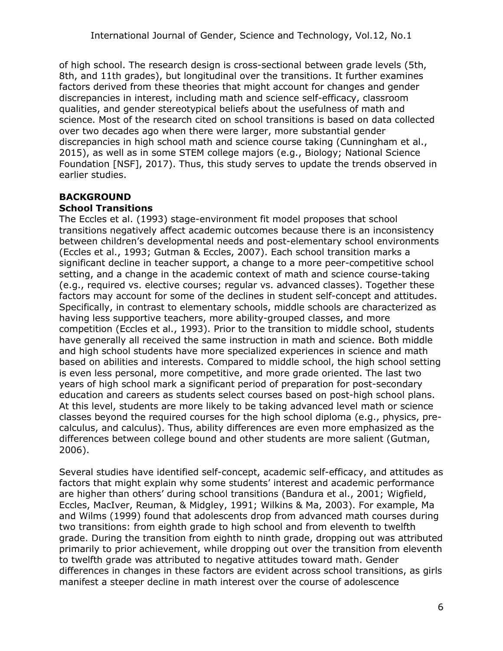of high school. The research design is cross-sectional between grade levels (5th, 8th, and 11th grades), but longitudinal over the transitions. It further examines factors derived from these theories that might account for changes and gender discrepancies in interest, including math and science self-efficacy, classroom qualities, and gender stereotypical beliefs about the usefulness of math and science. Most of the research cited on school transitions is based on data collected over two decades ago when there were larger, more substantial gender discrepancies in high school math and science course taking (Cunningham et al., 2015), as well as in some STEM college majors (e.g., Biology; National Science Foundation [NSF], 2017). Thus, this study serves to update the trends observed in earlier studies.

# **BACKGROUND**

#### **School Transitions**

The Eccles et al. (1993) stage-environment fit model proposes that school transitions negatively affect academic outcomes because there is an inconsistency between children's developmental needs and post-elementary school environments (Eccles et al., 1993; Gutman & Eccles, 2007). Each school transition marks a significant decline in teacher support, a change to a more peer-competitive school setting, and a change in the academic context of math and science course-taking (e.g., required vs. elective courses; regular vs. advanced classes). Together these factors may account for some of the declines in student self-concept and attitudes. Specifically, in contrast to elementary schools, middle schools are characterized as having less supportive teachers, more ability-grouped classes, and more competition (Eccles et al., 1993). Prior to the transition to middle school, students have generally all received the same instruction in math and science. Both middle and high school students have more specialized experiences in science and math based on abilities and interests. Compared to middle school, the high school setting is even less personal, more competitive, and more grade oriented. The last two years of high school mark a significant period of preparation for post-secondary education and careers as students select courses based on post-high school plans. At this level, students are more likely to be taking advanced level math or science classes beyond the required courses for the high school diploma (e.g., physics, precalculus, and calculus). Thus, ability differences are even more emphasized as the differences between college bound and other students are more salient (Gutman, 2006).

Several studies have identified self-concept, academic self-efficacy, and attitudes as factors that might explain why some students' interest and academic performance are higher than others' during school transitions (Bandura et al., 2001; Wigfield, Eccles, MacIver, Reuman, & Midgley, 1991; Wilkins & Ma, 2003). For example, Ma and Wilms (1999) found that adolescents drop from advanced math courses during two transitions: from eighth grade to high school and from eleventh to twelfth grade. During the transition from eighth to ninth grade, dropping out was attributed primarily to prior achievement, while dropping out over the transition from eleventh to twelfth grade was attributed to negative attitudes toward math. Gender differences in changes in these factors are evident across school transitions, as girls manifest a steeper decline in math interest over the course of adolescence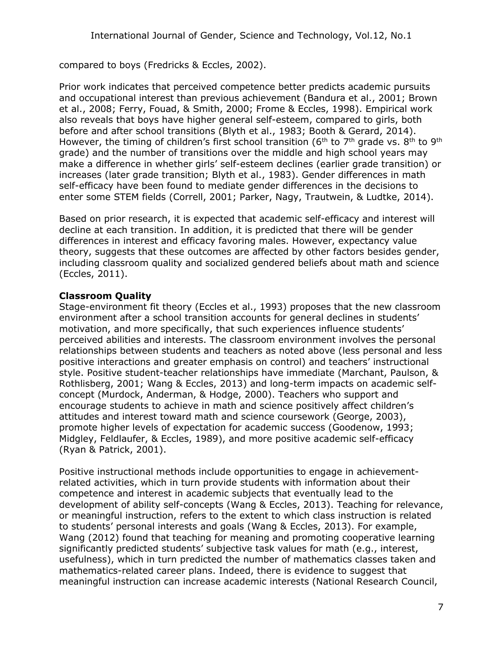compared to boys (Fredricks & Eccles, 2002).

Prior work indicates that perceived competence better predicts academic pursuits and occupational interest than previous achievement (Bandura et al., 2001; Brown et al., 2008; Ferry, Fouad, & Smith, 2000; Frome & Eccles, 1998). Empirical work also reveals that boys have higher general self-esteem, compared to girls, both before and after school transitions (Blyth et al., 1983; Booth & Gerard, 2014). However, the timing of children's first school transition ( $6<sup>th</sup>$  to  $7<sup>th</sup>$  grade vs.  $8<sup>th</sup>$  to  $9<sup>th</sup>$ grade) and the number of transitions over the middle and high school years may make a difference in whether girls' self-esteem declines (earlier grade transition) or increases (later grade transition; Blyth et al., 1983). Gender differences in math self-efficacy have been found to mediate gender differences in the decisions to enter some STEM fields (Correll, 2001; Parker, Nagy, Trautwein, & Ludtke, 2014).

Based on prior research, it is expected that academic self-efficacy and interest will decline at each transition. In addition, it is predicted that there will be gender differences in interest and efficacy favoring males. However, expectancy value theory, suggests that these outcomes are affected by other factors besides gender, including classroom quality and socialized gendered beliefs about math and science (Eccles, 2011).

# **Classroom Quality**

Stage-environment fit theory (Eccles et al., 1993) proposes that the new classroom environment after a school transition accounts for general declines in students' motivation, and more specifically, that such experiences influence students' perceived abilities and interests. The classroom environment involves the personal relationships between students and teachers as noted above (less personal and less positive interactions and greater emphasis on control) and teachers' instructional style. Positive student-teacher relationships have immediate (Marchant, Paulson, & Rothlisberg, 2001; Wang & Eccles, 2013) and long-term impacts on academic selfconcept (Murdock, Anderman, & Hodge, 2000). Teachers who support and encourage students to achieve in math and science positively affect children's attitudes and interest toward math and science coursework (George, 2003), promote higher levels of expectation for academic success (Goodenow, 1993; Midgley, Feldlaufer, & Eccles, 1989), and more positive academic self-efficacy (Ryan & Patrick, 2001).

Positive instructional methods include opportunities to engage in achievementrelated activities, which in turn provide students with information about their competence and interest in academic subjects that eventually lead to the development of ability self-concepts (Wang & Eccles, 2013). Teaching for relevance, or meaningful instruction, refers to the extent to which class instruction is related to students' personal interests and goals (Wang & Eccles, 2013). For example, Wang (2012) found that teaching for meaning and promoting cooperative learning significantly predicted students' subjective task values for math (e.g., interest, usefulness), which in turn predicted the number of mathematics classes taken and mathematics-related career plans. Indeed, there is evidence to suggest that meaningful instruction can increase academic interests (National Research Council,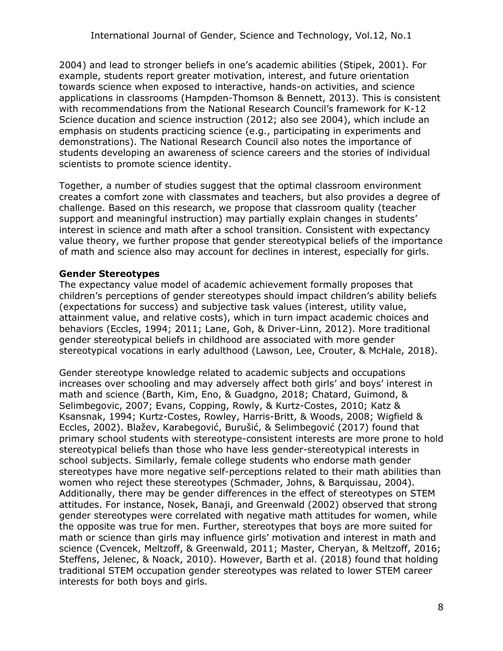2004) and lead to stronger beliefs in one's academic abilities (Stipek, 2001). For example, students report greater motivation, interest, and future orientation towards science when exposed to interactive, hands-on activities, and science applications in classrooms (Hampden-Thomson & Bennett, 2013). This is consistent with recommendations from the National Research Council's framework for K-12 Science ducation and science instruction (2012; also see 2004), which include an emphasis on students practicing science (e.g., participating in experiments and demonstrations). The National Research Council also notes the importance of students developing an awareness of science careers and the stories of individual scientists to promote science identity.

Together, a number of studies suggest that the optimal classroom environment creates a comfort zone with classmates and teachers, but also provides a degree of challenge. Based on this research, we propose that classroom quality (teacher support and meaningful instruction) may partially explain changes in students' interest in science and math after a school transition. Consistent with expectancy value theory, we further propose that gender stereotypical beliefs of the importance of math and science also may account for declines in interest, especially for girls.

#### **Gender Stereotypes**

The expectancy value model of academic achievement formally proposes that children's perceptions of gender stereotypes should impact children's ability beliefs (expectations for success) and subjective task values (interest, utility value, attainment value, and relative costs), which in turn impact academic choices and behaviors (Eccles, 1994; 2011; Lane, Goh, & Driver-Linn, 2012). More traditional gender stereotypical beliefs in childhood are associated with more gender stereotypical vocations in early adulthood (Lawson, Lee, Crouter, & McHale, 2018).

Gender stereotype knowledge related to academic subjects and occupations increases over schooling and may adversely affect both girls' and boys' interest in math and science (Barth, Kim, Eno, & Guadgno, 2018; Chatard, Guimond, & Selimbegovic, 2007; Evans, Copping, Rowly, & Kurtz-Costes, 2010; Katz & Ksansnak, 1994; Kurtz-Costes, Rowley, Harris-Britt, & Woods, 2008; Wigfield & Eccles, 2002). Blažev, Karabegović, Burušić, & Selimbegović (2017) found that primary school students with stereotype-consistent interests are more prone to hold stereotypical beliefs than those who have less gender-stereotypical interests in school subjects. Similarly, female college students who endorse math gender stereotypes have more negative self-perceptions related to their math abilities than women who reject these stereotypes (Schmader, Johns, & Barquissau, 2004). Additionally, there may be gender differences in the effect of stereotypes on STEM attitudes. For instance, Nosek, Banaji, and Greenwald (2002) observed that strong gender stereotypes were correlated with negative math attitudes for women, while the opposite was true for men. Further, stereotypes that boys are more suited for math or science than girls may influence girls' motivation and interest in math and science (Cvencek, Meltzoff, & Greenwald, 2011; Master, Cheryan, & Meltzoff, 2016; Steffens, Jelenec, & Noack, 2010). However, Barth et al. (2018) found that holding traditional STEM occupation gender stereotypes was related to lower STEM career interests for both boys and girls.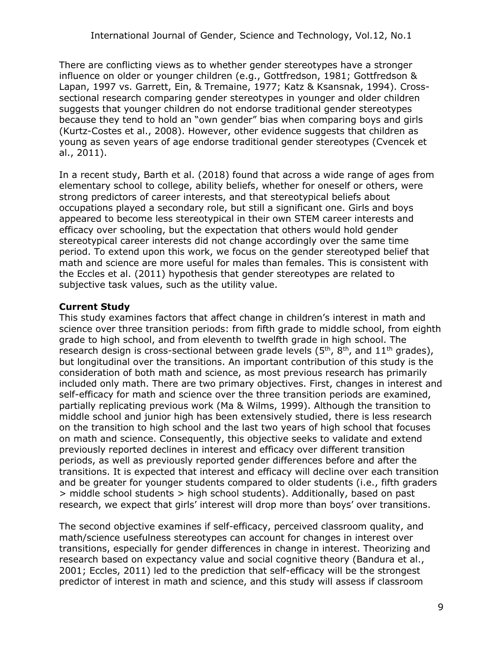There are conflicting views as to whether gender stereotypes have a stronger influence on older or younger children (e.g., Gottfredson, 1981; Gottfredson & Lapan, 1997 vs. Garrett, Ein, & Tremaine, 1977; Katz & Ksansnak, 1994). Crosssectional research comparing gender stereotypes in younger and older children suggests that younger children do not endorse traditional gender stereotypes because they tend to hold an "own gender" bias when comparing boys and girls (Kurtz-Costes et al., 2008). However, other evidence suggests that children as young as seven years of age endorse traditional gender stereotypes (Cvencek et al., 2011).

In a recent study, Barth et al. (2018) found that across a wide range of ages from elementary school to college, ability beliefs, whether for oneself or others, were strong predictors of career interests, and that stereotypical beliefs about occupations played a secondary role, but still a significant one. Girls and boys appeared to become less stereotypical in their own STEM career interests and efficacy over schooling, but the expectation that others would hold gender stereotypical career interests did not change accordingly over the same time period. To extend upon this work, we focus on the gender stereotyped belief that math and science are more useful for males than females. This is consistent with the Eccles et al. (2011) hypothesis that gender stereotypes are related to subjective task values, such as the utility value.

# **Current Study**

This study examines factors that affect change in children's interest in math and science over three transition periods: from fifth grade to middle school, from eighth grade to high school, and from eleventh to twelfth grade in high school. The research design is cross-sectional between grade levels  $(5<sup>th</sup>, 8<sup>th</sup>)$ , and  $11<sup>th</sup>$  grades), but longitudinal over the transitions. An important contribution of this study is the consideration of both math and science, as most previous research has primarily included only math. There are two primary objectives. First, changes in interest and self-efficacy for math and science over the three transition periods are examined, partially replicating previous work (Ma & Wilms, 1999). Although the transition to middle school and junior high has been extensively studied, there is less research on the transition to high school and the last two years of high school that focuses on math and science. Consequently, this objective seeks to validate and extend previously reported declines in interest and efficacy over different transition periods, as well as previously reported gender differences before and after the transitions. It is expected that interest and efficacy will decline over each transition and be greater for younger students compared to older students (i.e., fifth graders > middle school students > high school students). Additionally, based on past research, we expect that girls' interest will drop more than boys' over transitions.

The second objective examines if self-efficacy, perceived classroom quality, and math/science usefulness stereotypes can account for changes in interest over transitions, especially for gender differences in change in interest. Theorizing and research based on expectancy value and social cognitive theory (Bandura et al., 2001; Eccles, 2011) led to the prediction that self-efficacy will be the strongest predictor of interest in math and science, and this study will assess if classroom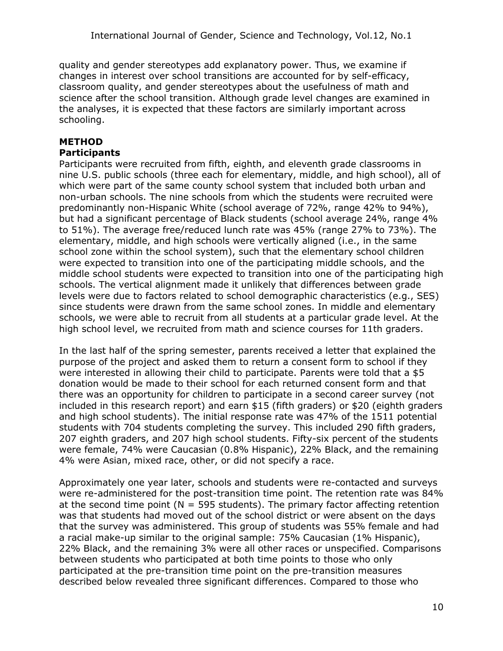quality and gender stereotypes add explanatory power. Thus, we examine if changes in interest over school transitions are accounted for by self-efficacy, classroom quality, and gender stereotypes about the usefulness of math and science after the school transition. Although grade level changes are examined in the analyses, it is expected that these factors are similarly important across schooling.

# **METHOD**

# **Participants**

Participants were recruited from fifth, eighth, and eleventh grade classrooms in nine U.S. public schools (three each for elementary, middle, and high school), all of which were part of the same county school system that included both urban and non-urban schools. The nine schools from which the students were recruited were predominantly non-Hispanic White (school average of 72%, range 42% to 94%), but had a significant percentage of Black students (school average 24%, range 4% to 51%). The average free/reduced lunch rate was 45% (range 27% to 73%). The elementary, middle, and high schools were vertically aligned (i.e., in the same school zone within the school system), such that the elementary school children were expected to transition into one of the participating middle schools, and the middle school students were expected to transition into one of the participating high schools. The vertical alignment made it unlikely that differences between grade levels were due to factors related to school demographic characteristics (e.g., SES) since students were drawn from the same school zones. In middle and elementary schools, we were able to recruit from all students at a particular grade level. At the high school level, we recruited from math and science courses for 11th graders.

In the last half of the spring semester, parents received a letter that explained the purpose of the project and asked them to return a consent form to school if they were interested in allowing their child to participate. Parents were told that a \$5 donation would be made to their school for each returned consent form and that there was an opportunity for children to participate in a second career survey (not included in this research report) and earn \$15 (fifth graders) or \$20 (eighth graders and high school students). The initial response rate was 47% of the 1511 potential students with 704 students completing the survey. This included 290 fifth graders, 207 eighth graders, and 207 high school students. Fifty-six percent of the students were female, 74% were Caucasian (0.8% Hispanic), 22% Black, and the remaining 4% were Asian, mixed race, other, or did not specify a race.

Approximately one year later, schools and students were re-contacted and surveys were re-administered for the post-transition time point. The retention rate was 84% at the second time point ( $N = 595$  students). The primary factor affecting retention was that students had moved out of the school district or were absent on the days that the survey was administered. This group of students was 55% female and had a racial make-up similar to the original sample: 75% Caucasian (1% Hispanic), 22% Black, and the remaining 3% were all other races or unspecified. Comparisons between students who participated at both time points to those who only participated at the pre-transition time point on the pre-transition measures described below revealed three significant differences. Compared to those who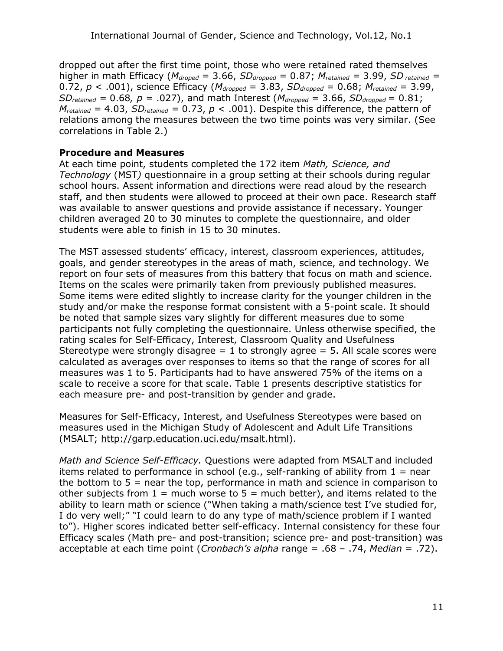dropped out after the first time point, those who were retained rated themselves higher in math Efficacy ( $M_{droped} = 3.66$ ,  $SD_{dropped} = 0.87$ ;  $M_{retained} = 3.99$ ,  $SD_{retained} =$ 0.72, *p* < .001), science Efficacy (*Mdropped* = 3.83, *SDdropped* = 0.68; *Mretained =* 3.99, *SD*<sub>retained</sub> = 0.68,  $p = .027$ ), and math Interest ( $M_{dropped} = 3.66$ ,  $SD_{dropped} = 0.81$ ;  $M_{retained} = 4.03$ ,  $SD_{retained} = 0.73$ ,  $p < .001$ ). Despite this difference, the pattern of relations among the measures between the two time points was very similar. (See correlations in Table 2.)

#### **Procedure and Measures**

At each time point, students completed the 172 item *Math, Science, and Technology* (MST*)* questionnaire in a group setting at their schools during regular school hours. Assent information and directions were read aloud by the research staff, and then students were allowed to proceed at their own pace. Research staff was available to answer questions and provide assistance if necessary. Younger children averaged 20 to 30 minutes to complete the questionnaire, and older students were able to finish in 15 to 30 minutes.

The MST assessed students' efficacy, interest, classroom experiences, attitudes, goals, and gender stereotypes in the areas of math, science, and technology. We report on four sets of measures from this battery that focus on math and science. Items on the scales were primarily taken from previously published measures. Some items were edited slightly to increase clarity for the younger children in the study and/or make the response format consistent with a 5-point scale. It should be noted that sample sizes vary slightly for different measures due to some participants not fully completing the questionnaire. Unless otherwise specified, the rating scales for Self-Efficacy, Interest, Classroom Quality and Usefulness Stereotype were strongly disagree  $= 1$  to strongly agree  $= 5$ . All scale scores were calculated as averages over responses to items so that the range of scores for all measures was 1 to 5. Participants had to have answered 75% of the items on a scale to receive a score for that scale. Table 1 presents descriptive statistics for each measure pre- and post-transition by gender and grade.

Measures for Self-Efficacy, Interest, and Usefulness Stereotypes were based on measures used in the Michigan Study of Adolescent and Adult Life Transitions (MSALT; [http://garp.education.uci.edu/msalt.html\)](http://garp.education.uci.edu/msalt.html).

*Math and Science Self-Efficacy.* Questions were adapted from MSALT and included items related to performance in school (e.g., self-ranking of ability from  $1 =$  near the bottom to  $5$  = near the top, performance in math and science in comparison to other subjects from  $1 =$  much worse to  $5 =$  much better), and items related to the ability to learn math or science ("When taking a math/science test I've studied for, I do very well;" "I could learn to do any type of math/science problem if I wanted to"). Higher scores indicated better self-efficacy. Internal consistency for these four Efficacy scales (Math pre- and post-transition; science pre- and post-transition) was acceptable at each time point (*Cronbach's alpha* range = .68 – .74, *Median* = .72).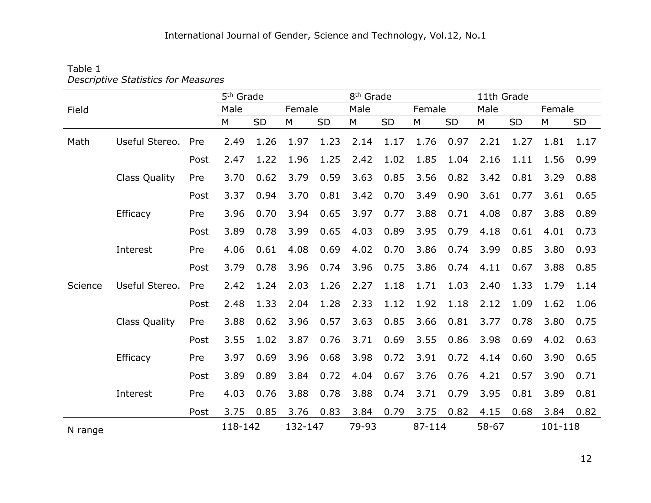#### Table 1 *Descriptive Statistics for Measures*

|         |                      |      | 5 <sup>th</sup> Grade |      |         |           | 8 <sup>th</sup> Grade |           |        |      | 11th Grade |      |         |      |
|---------|----------------------|------|-----------------------|------|---------|-----------|-----------------------|-----------|--------|------|------------|------|---------|------|
| Field   |                      |      | Male                  |      | Female  |           | Male                  |           | Female |      | Male       |      | Female  |      |
|         |                      |      | M                     | SD   | M       | <b>SD</b> | M                     | <b>SD</b> | M      | SD   | М          | SD   | M       | SD   |
| Math    | Useful Stereo.       | Pre  | 2.49                  | 1.26 | 1.97    | 1.23      | 2.14                  | 1.17      | 1.76   | 0.97 | 2.21       | 1.27 | 1.81    | 1.17 |
|         |                      | Post | 2.47                  | 1.22 | 1.96    | 1.25      | 2.42                  | 1.02      | 1.85   | 1.04 | 2.16       | 1.11 | 1.56    | 0.99 |
|         | <b>Class Quality</b> | Pre  | 3.70                  | 0.62 | 3.79    | 0.59      | 3.63                  | 0.85      | 3.56   | 0.82 | 3.42       | 0.81 | 3.29    | 0.88 |
|         |                      | Post | 3.37                  | 0.94 | 3.70    | 0.81      | 3.42                  | 0.70      | 3.49   | 0.90 | 3.61       | 0.77 | 3.61    | 0.65 |
|         | Efficacy             | Pre  | 3.96                  | 0.70 | 3.94    | 0.65      | 3.97                  | 0.77      | 3.88   | 0.71 | 4.08       | 0.87 | 3.88    | 0.89 |
|         |                      | Post | 3.89                  | 0.78 | 3.99    | 0.65      | 4.03                  | 0.89      | 3.95   | 0.79 | 4.18       | 0.61 | 4.01    | 0.73 |
|         | Interest             | Pre  | 4.06                  | 0.61 | 4.08    | 0.69      | 4.02                  | 0.70      | 3.86   | 0.74 | 3.99       | 0.85 | 3.80    | 0.93 |
|         |                      | Post | 3.79                  | 0.78 | 3.96    | 0.74      | 3.96                  | 0.75      | 3.86   | 0.74 | 4.11       | 0.67 | 3.88    | 0.85 |
| Science | Useful Stereo.       | Pre  | 2.42                  | 1.24 | 2.03    | 1.26      | 2.27                  | 1.18      | 1.71   | 1.03 | 2.40       | 1.33 | 1.79    | 1.14 |
|         |                      | Post | 2.48                  | 1.33 | 2.04    | 1.28      | 2.33                  | 1.12      | 1.92   | 1.18 | 2.12       | 1.09 | 1.62    | 1.06 |
|         | <b>Class Quality</b> | Pre  | 3.88                  | 0.62 | 3.96    | 0.57      | 3.63                  | 0.85      | 3.66   | 0.81 | 3.77       | 0.78 | 3.80    | 0.75 |
|         |                      | Post | 3.55                  | 1.02 | 3.87    | 0.76      | 3.71                  | 0.69      | 3.55   | 0.86 | 3.98       | 0.69 | 4.02    | 0.63 |
|         | Efficacy             | Pre  | 3.97                  | 0.69 | 3.96    | 0.68      | 3.98                  | 0.72      | 3.91   | 0.72 | 4.14       | 0.60 | 3.90    | 0.65 |
|         |                      | Post | 3.89                  | 0.89 | 3.84    | 0.72      | 4.04                  | 0.67      | 3.76   | 0.76 | 4.21       | 0.57 | 3.90    | 0.71 |
|         | Interest             | Pre  | 4.03                  | 0.76 | 3.88    | 0.78      | 3.88                  | 0.74      | 3.71   | 0.79 | 3.95       | 0.81 | 3.89    | 0.81 |
|         |                      | Post | 3.75                  | 0.85 | 3.76    | 0.83      | 3.84                  | 0.79      | 3.75   | 0.82 | 4.15       | 0.68 | 3.84    | 0.82 |
| N range |                      |      | 118-142               |      | 132-147 |           | 79-93                 |           | 87-114 |      | 58-67      |      | 101-118 |      |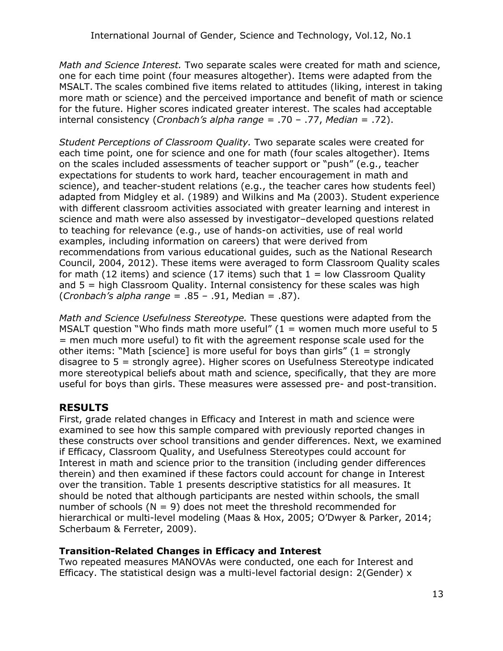*Math and Science Interest.* Two separate scales were created for math and science, one for each time point (four measures altogether). Items were adapted from the MSALT. The scales combined five items related to attitudes (liking, interest in taking more math or science) and the perceived importance and benefit of math or science for the future. Higher scores indicated greater interest. The scales had acceptable internal consistency (*Cronbach's alpha range =* .70 – .77, *Median* = .72).

*Student Perceptions of Classroom Quality.* Two separate scales were created for each time point, one for science and one for math (four scales altogether). Items on the scales included assessments of teacher support or "push" (e.g., teacher expectations for students to work hard, teacher encouragement in math and science), and teacher-student relations (e.g., the teacher cares how students feel) adapted from Midgley et al. (1989) and Wilkins and Ma (2003). Student experience with different classroom activities associated with greater learning and interest in science and math were also assessed by investigator–developed questions related to teaching for relevance (e.g., use of hands-on activities, use of real world examples, including information on careers) that were derived from recommendations from various educational guides, such as the National Research Council, 2004, 2012). These items were averaged to form Classroom Quality scales for math (12 items) and science (17 items) such that  $1 =$  low Classroom Quality and 5 = high Classroom Quality. Internal consistency for these scales was high (*Cronbach's alpha range* = .85 – .91, Median = .87).

*Math and Science Usefulness Stereotype.* These questions were adapted from the MSALT question "Who finds math more useful"  $(1 =$  women much more useful to 5 = men much more useful) to fit with the agreement response scale used for the other items: "Math [science] is more useful for boys than girls"  $(1 =$  strongly disagree to 5 = strongly agree). Higher scores on Usefulness Stereotype indicated more stereotypical beliefs about math and science, specifically, that they are more useful for boys than girls. These measures were assessed pre- and post-transition.

# **RESULTS**

First, grade related changes in Efficacy and Interest in math and science were examined to see how this sample compared with previously reported changes in these constructs over school transitions and gender differences. Next, we examined if Efficacy, Classroom Quality, and Usefulness Stereotypes could account for Interest in math and science prior to the transition (including gender differences therein) and then examined if these factors could account for change in Interest over the transition. Table 1 presents descriptive statistics for all measures. It should be noted that although participants are nested within schools, the small number of schools ( $N = 9$ ) does not meet the threshold recommended for hierarchical or multi-level modeling (Maas & Hox, 2005; O'Dwyer & Parker, 2014; Scherbaum & Ferreter, 2009).

#### **Transition-Related Changes in Efficacy and Interest**

Two repeated measures MANOVAs were conducted, one each for Interest and Efficacy. The statistical design was a multi-level factorial design:  $2(Gender)$  x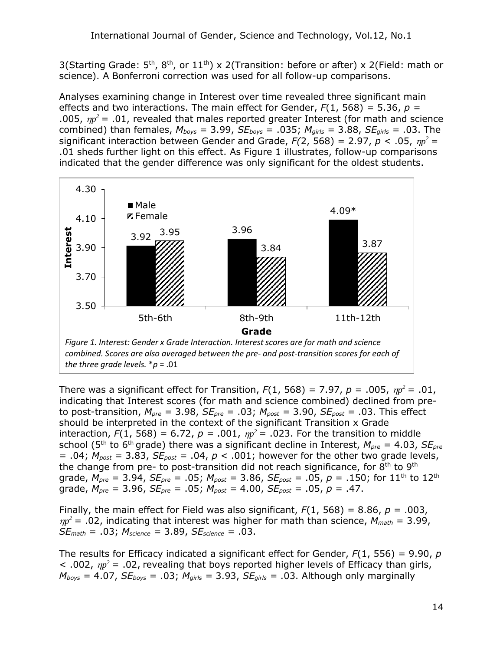3(Starting Grade:  $5<sup>th</sup>$ ,  $8<sup>th</sup>$ , or  $11<sup>th</sup>$ ) x 2(Transition: before or after) x 2(Field: math or science). A Bonferroni correction was used for all follow-up comparisons.

Analyses examining change in Interest over time revealed three significant main effects and two interactions. The main effect for Gender, *F*(1, 568) = 5.36, *p =* .005,  $\eta p^2$  = .01, revealed that males reported greater Interest (for math and science combined) than females,  $M_{\text{boys}} = 3.99$ ,  $SE_{\text{boys}} = .035$ ;  $M_{\text{girls}} = 3.88$ ,  $SE_{\text{girls}} = .03$ . The significant interaction between Gender and Grade,  $F(2, 568) = 2.97$ ,  $p < .05$ ,  $\eta p^2 =$ .01 sheds further light on this effect. As Figure 1 illustrates, follow-up comparisons indicated that the gender difference was only significant for the oldest students.



There was a significant effect for Transition,  $F(1, 568) = 7.97$ ,  $p = .005$ ,  $np^2 = .01$ , indicating that Interest scores (for math and science combined) declined from preto post-transition,  $M_{pre} = 3.98$ ,  $SE_{pre} = .03$ ;  $M_{post} = 3.90$ ,  $SE_{post} = .03$ . This effect should be interpreted in the context of the significant Transition x Grade interaction,  $F(1, 568) = 6.72$ ,  $p = .001$ ,  $np^2 = .023$ . For the transition to middle school (5th to 6th grade) there was a significant decline in Interest, *Mpre* = 4.03, *SEpre* = .04;  $M_{post}$  = 3.83,  $SE_{post}$  = .04,  $p < .001$ ; however for the other two grade levels, the change from pre- to post-transition did not reach significance, for  $8<sup>th</sup>$  to  $9<sup>th</sup>$ grade,  $M_{pre} = 3.94$ ,  $SE_{pre} = .05$ ;  $M_{post} = 3.86$ ,  $SE_{post} = .05$ ,  $p = .150$ ; for 11<sup>th</sup> to 12<sup>th</sup> grade,  $M_{pre} = 3.96$ ,  $SE_{pre} = .05$ ;  $M_{post} = 4.00$ ,  $SE_{post} = .05$ ,  $p = .47$ .

Finally, the main effect for Field was also significant,  $F(1, 568) = 8.86$ ,  $p = .003$ ,  $\eta p^2$  = .02, indicating that interest was higher for math than science,  $M_{match}$  = 3.99, *SEmath* = .03; *Mscience =* 3.89, *SEscience =* .03.

The results for Efficacy indicated a significant effect for Gender, *F*(1, 556) = 9.90, *p*   $<$  .002,  $\eta p^2$  = .02, revealing that boys reported higher levels of Efficacy than girls,  $M_{\text{boys}} = 4.07$ ,  $SE_{\text{boys}} = .03$ ;  $M_{\text{girls}} = 3.93$ ,  $SE_{\text{girls}} = .03$ . Although only marginally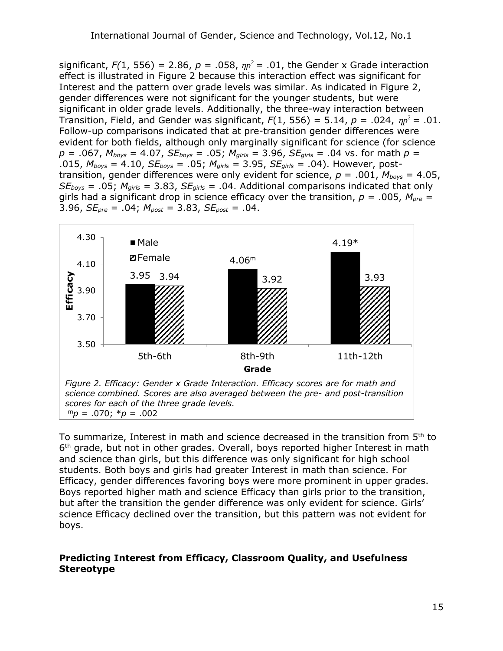significant,  $F(1, 556) = 2.86$ ,  $p = .058$ ,  $np^2 = .01$ , the Gender x Grade interaction effect is illustrated in Figure 2 because this interaction effect was significant for Interest and the pattern over grade levels was similar. As indicated in Figure 2, gender differences were not significant for the younger students, but were significant in older grade levels. Additionally, the three-way interaction between Transition, Field, and Gender was significant,  $F(1, 556) = 5.14$ ,  $p = .024$ ,  $\eta p^2 = .01$ . Follow-up comparisons indicated that at pre-transition gender differences were evident for both fields, although only marginally significant for science (for science  $p = .067$ ,  $M_{boys} = 4.07$ ,  $SE_{boys} = .05$ ;  $M_{girls} = 3.96$ ,  $SE_{girls} = .04$  vs. for math  $p =$ .015, *Mboys* = 4.10, *SEboys* = .05; *Mgirls =* 3.95, *SEgirls =* .04). However, posttransition, gender differences were only evident for science,  $p = .001$ ,  $M_{boys} = 4.05$ , *SEboys* = .05; *Mgirls =* 3.83, *SEgirls =* .04. Additional comparisons indicated that only girls had a significant drop in science efficacy over the transition,  $p = .005$ ,  $M_{pre} =$ 3.96, *SEpre* = .04; *Mpost =* 3.83, *SEpost =* .04.



To summarize, Interest in math and science decreased in the transition from  $5<sup>th</sup>$  to 6<sup>th</sup> grade, but not in other grades. Overall, boys reported higher Interest in math and science than girls, but this difference was only significant for high school students. Both boys and girls had greater Interest in math than science. For Efficacy, gender differences favoring boys were more prominent in upper grades. Boys reported higher math and science Efficacy than girls prior to the transition, but after the transition the gender difference was only evident for science. Girls' science Efficacy declined over the transition, but this pattern was not evident for boys.

#### **Predicting Interest from Efficacy, Classroom Quality, and Usefulness Stereotype**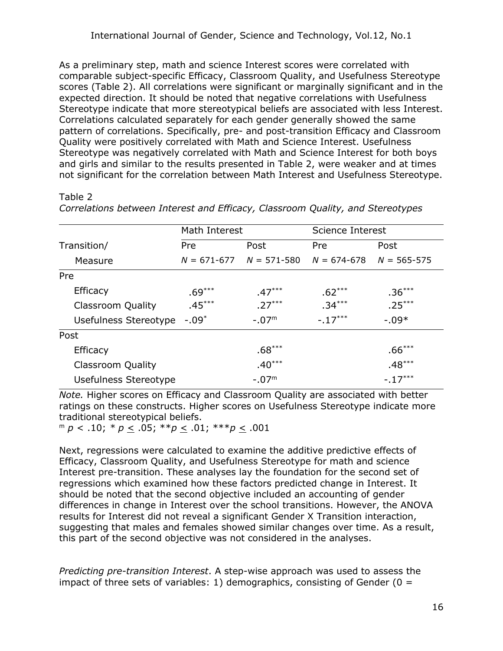As a preliminary step, math and science Interest scores were correlated with comparable subject-specific Efficacy, Classroom Quality, and Usefulness Stereotype scores (Table 2). All correlations were significant or marginally significant and in the expected direction. It should be noted that negative correlations with Usefulness Stereotype indicate that more stereotypical beliefs are associated with less Interest. Correlations calculated separately for each gender generally showed the same pattern of correlations. Specifically, pre- and post-transition Efficacy and Classroom Quality were positively correlated with Math and Science Interest. Usefulness Stereotype was negatively correlated with Math and Science Interest for both boys and girls and similar to the results presented in Table 2, were weaker and at times not significant for the correlation between Math Interest and Usefulness Stereotype.

#### Table 2

|                          | Math Interest |                                                         | Science Interest |           |  |
|--------------------------|---------------|---------------------------------------------------------|------------------|-----------|--|
| Transition/              | Pre           | Post                                                    | Pre              | Post      |  |
| Measure                  |               | $N = 671-677$ $N = 571-580$ $N = 674-678$ $N = 565-575$ |                  |           |  |
| Pre                      |               |                                                         |                  |           |  |
| Efficacy                 | $.69***$      | $.47***$                                                | $.62***$         | $.36***$  |  |
| <b>Classroom Quality</b> | $.45***$      | $.27***$                                                | $.34***$         | $.25***$  |  |
| Usefulness Stereotype    | $-.09*$       | $-.07m$                                                 | $-17***$         | $-0.09*$  |  |
| Post                     |               |                                                         |                  |           |  |
| Efficacy                 |               | $.68***$                                                |                  | $.66***$  |  |
| <b>Classroom Quality</b> |               | $.40***$                                                |                  | $.48***$  |  |
| Usefulness Stereotype    |               | $-.07m$                                                 |                  | $-.17***$ |  |

*Correlations between Interest and Efficacy, Classroom Quality, and Stereotypes*

*Note.* Higher scores on Efficacy and Classroom Quality are associated with better ratings on these constructs. Higher scores on Usefulness Stereotype indicate more traditional stereotypical beliefs.

<sup>m</sup> *p* < .10; *\* p* < .05; \*\**p* < .01; \*\*\**p* < .001

Next, regressions were calculated to examine the additive predictive effects of Efficacy, Classroom Quality, and Usefulness Stereotype for math and science Interest pre-transition. These analyses lay the foundation for the second set of regressions which examined how these factors predicted change in Interest. It should be noted that the second objective included an accounting of gender differences in change in Interest over the school transitions. However, the ANOVA results for Interest did not reveal a significant Gender X Transition interaction, suggesting that males and females showed similar changes over time. As a result, this part of the second objective was not considered in the analyses.

*Predicting pre-transition Interest*. A step-wise approach was used to assess the impact of three sets of variables: 1) demographics, consisting of Gender ( $0 =$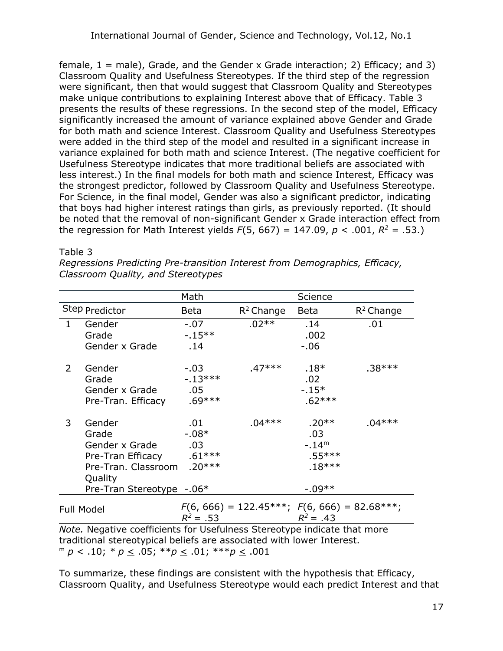female,  $1 =$  male), Grade, and the Gender x Grade interaction; 2) Efficacy; and 3) Classroom Quality and Usefulness Stereotypes. If the third step of the regression were significant, then that would suggest that Classroom Quality and Stereotypes make unique contributions to explaining Interest above that of Efficacy. Table 3 presents the results of these regressions. In the second step of the model, Efficacy significantly increased the amount of variance explained above Gender and Grade for both math and science Interest. Classroom Quality and Usefulness Stereotypes were added in the third step of the model and resulted in a significant increase in variance explained for both math and science Interest. (The negative coefficient for Usefulness Stereotype indicates that more traditional beliefs are associated with less interest.) In the final models for both math and science Interest, Efficacy was the strongest predictor, followed by Classroom Quality and Usefulness Stereotype. For Science, in the final model, Gender was also a significant predictor, indicating that boys had higher interest ratings than girls, as previously reported. (It should be noted that the removal of non-significant Gender x Grade interaction effect from the regression for Math Interest yields *F*(5, 667) = 147.09, *p* < .001, *R <sup>2</sup> =* .53.)

#### Table 3

| Regressions Predicting Pre-transition Interest from Demographics, Efficacy, |  |
|-----------------------------------------------------------------------------|--|
| Classroom Quality, and Stereotypes                                          |  |

|                                                                          |                           | Math                 |                                                | Science     |              |  |
|--------------------------------------------------------------------------|---------------------------|----------------------|------------------------------------------------|-------------|--------------|--|
|                                                                          | Step Predictor            | $R^2$ Change<br>Beta |                                                | <b>Beta</b> | $R^2$ Change |  |
| $\mathbf{1}$                                                             | Gender                    | $-.07$               | $.02**$                                        | .14         | .01          |  |
|                                                                          | Grade                     | $-15**$              |                                                | .002        |              |  |
|                                                                          | Gender x Grade            | .14                  |                                                | $-0.06$     |              |  |
| 2                                                                        | Gender                    | $-.03$               | $.47***$                                       | $.18*$      | $.38***$     |  |
|                                                                          | Grade                     | $-13***$             |                                                | .02         |              |  |
|                                                                          | Gender x Grade            | .05                  |                                                | $-15*$      |              |  |
|                                                                          | Pre-Tran. Efficacy        | $.69***$             |                                                | $.62***$    |              |  |
| 3                                                                        | Gender                    | .01                  | $.04***$                                       | $.20**$     | $.04***$     |  |
|                                                                          | Grade                     | $-0.08*$             |                                                | .03         |              |  |
|                                                                          | Gender x Grade            | .03                  |                                                | $-.14m$     |              |  |
|                                                                          | Pre-Tran Efficacy         | $.61***$             |                                                | $.55***$    |              |  |
|                                                                          | Pre-Tran. Classroom       | $.20***$             |                                                | $.18***$    |              |  |
|                                                                          | Quality                   |                      |                                                |             |              |  |
|                                                                          | Pre-Tran Stereotype -.06* |                      |                                                | $-0.09**$   |              |  |
| <b>Full Model</b>                                                        |                           | $R^2 = .53$          | $F(6, 666) = 122.45***; F(6, 666) = 82.68***;$ | $R^2 = .43$ |              |  |
| Neto Negative coefficiente feu Lleefulnese Ctenestune indicate that mens |                           |                      |                                                |             |              |  |

*Note.* Negative coefficients for Usefulness Stereotype indicate that more traditional stereotypical beliefs are associated with lower Interest. <sup>m</sup> *p* < .10; *\* p* < .05; \*\**p* < .01; \*\*\**p* < .001

To summarize, these findings are consistent with the hypothesis that Efficacy, Classroom Quality, and Usefulness Stereotype would each predict Interest and that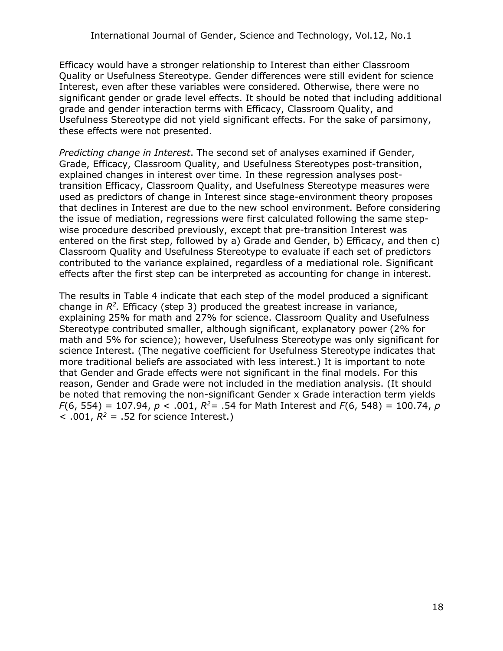Efficacy would have a stronger relationship to Interest than either Classroom Quality or Usefulness Stereotype. Gender differences were still evident for science Interest, even after these variables were considered. Otherwise, there were no significant gender or grade level effects. It should be noted that including additional grade and gender interaction terms with Efficacy, Classroom Quality, and Usefulness Stereotype did not yield significant effects. For the sake of parsimony, these effects were not presented.

*Predicting change in Interest*. The second set of analyses examined if Gender, Grade, Efficacy, Classroom Quality, and Usefulness Stereotypes post-transition, explained changes in interest over time. In these regression analyses posttransition Efficacy, Classroom Quality, and Usefulness Stereotype measures were used as predictors of change in Interest since stage-environment theory proposes that declines in Interest are due to the new school environment. Before considering the issue of mediation, regressions were first calculated following the same stepwise procedure described previously, except that pre-transition Interest was entered on the first step, followed by a) Grade and Gender, b) Efficacy, and then c) Classroom Quality and Usefulness Stereotype to evaluate if each set of predictors contributed to the variance explained, regardless of a mediational role. Significant effects after the first step can be interpreted as accounting for change in interest.

The results in Table 4 indicate that each step of the model produced a significant change in  $R^2$ . Efficacy (step 3) produced the greatest increase in variance, explaining 25% for math and 27% for science. Classroom Quality and Usefulness Stereotype contributed smaller, although significant, explanatory power (2% for math and 5% for science); however, Usefulness Stereotype was only significant for science Interest. (The negative coefficient for Usefulness Stereotype indicates that more traditional beliefs are associated with less interest.) It is important to note that Gender and Grade effects were not significant in the final models. For this reason, Gender and Grade were not included in the mediation analysis. (It should be noted that removing the non-significant Gender x Grade interaction term yields *F*(6, 554) = 107.94, *p* < .001, *R <sup>2</sup>=* .54 for Math Interest and *F*(6, 548) = 100.74, *p*  $<$  .001,  $R^2$  = .52 for science Interest.)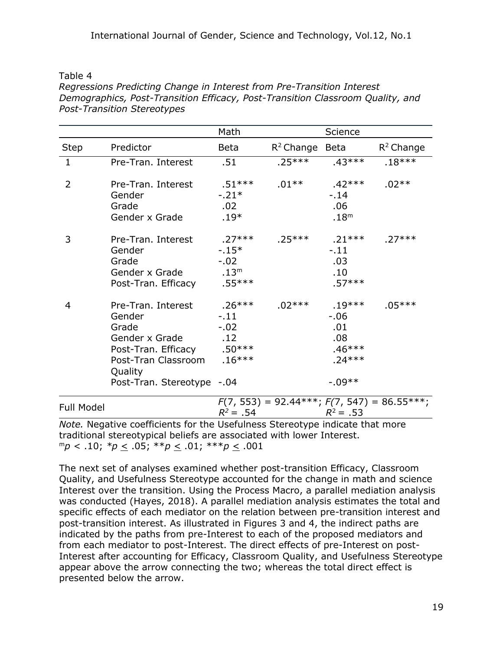| abl<br>. . |  |
|------------|--|
|------------|--|

*Regressions Predicting Change in Interest from Pre-Transition Interest Demographics, Post-Transition Efficacy, Post-Transition Classroom Quality, and Post-Transition Stereotypes*

|                |                                                                                                                                                       | Math                                                       |                   | Science                                                                |                                               |
|----------------|-------------------------------------------------------------------------------------------------------------------------------------------------------|------------------------------------------------------------|-------------------|------------------------------------------------------------------------|-----------------------------------------------|
| <b>Step</b>    | Predictor                                                                                                                                             | <b>Beta</b>                                                | $R^2$ Change Beta |                                                                        | $R^2$ Change                                  |
| $\mathbf{1}$   | Pre-Tran. Interest                                                                                                                                    | .51                                                        | $.25***$          | $.43***$                                                               | $.18***$                                      |
| $\overline{2}$ | Pre-Tran. Interest<br>Gender<br>Grade<br>Gender x Grade                                                                                               | .51***<br>$-21*$<br>.02<br>$.19*$                          | $.01**$           | .42***<br>$-.14$<br>.06<br>.18 <sup>m</sup>                            | $.02**$                                       |
| 3              | Pre-Tran. Interest<br>Gender<br>Grade<br>Gender x Grade<br>Post-Tran. Efficacy                                                                        | .27***<br>$-15*$<br>$-.02$<br>.13 <sup>m</sup><br>$.55***$ | $.25***$ .21***   | $-.11$<br>.03<br>.10<br>$.57***$                                       | $.27***$                                      |
| 4              | Pre-Tran. Interest<br>Gender<br>Grade<br>Gender x Grade<br>Post-Tran. Efficacy .50***<br>Post-Tran Classroom<br>Quality<br>Post-Tran. Stereotype -.04 | $.26***$<br>$-11$<br>$-.02$<br>.12<br>$.16***$             | .02***            | $.19***$<br>$-0.06$<br>.01<br>.08<br>$.46***$<br>$.24***$<br>$-0.09**$ | $.05***$                                      |
| Full Model     |                                                                                                                                                       | $R^2 = .54$                                                |                   | $R^2 = .53$                                                            | $F(7, 553) = 92.44***; F(7, 547) = 86.55***;$ |

*Note.* Negative coefficients for the Usefulness Stereotype indicate that more traditional stereotypical beliefs are associated with lower Interest.  $m_p < .10; *p \le .05; *p \le .01; **p \le .001$ 

The next set of analyses examined whether post-transition Efficacy, Classroom Quality, and Usefulness Stereotype accounted for the change in math and science Interest over the transition. Using the Process Macro, a parallel mediation analysis was conducted (Hayes, 2018). A parallel mediation analysis estimates the total and specific effects of each mediator on the relation between pre-transition interest and post-transition interest. As illustrated in Figures 3 and 4, the indirect paths are indicated by the paths from pre-Interest to each of the proposed mediators and from each mediator to post-Interest. The direct effects of pre-Interest on post-Interest after accounting for Efficacy, Classroom Quality, and Usefulness Stereotype appear above the arrow connecting the two; whereas the total direct effect is presented below the arrow.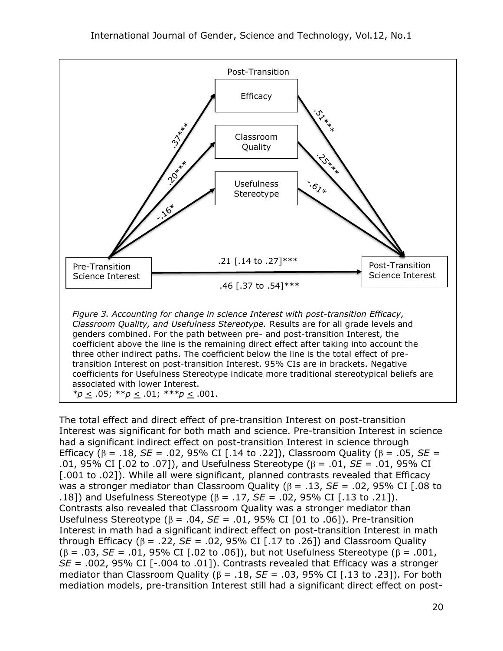

The total effect and direct effect of pre-transition Interest on post-transition Interest was significant for both math and science. Pre-transition Interest in science had a significant indirect effect on post-transition Interest in science through Efficacy ( $\beta$  = .18, *SE* = .02, 95% CI [.14 to .22]), Classroom Quality ( $\beta$  = .05, *SE* = .01, 95% CI [.02 to .07]), and Usefulness Stereotype ( $\beta$  = .01, *SE* = .01, 95% CI [.001 to .02]). While all were significant, planned contrasts revealed that Efficacy was a stronger mediator than Classroom Quality ( $\beta$  = .13, *SE* = .02, 95% CI [.08 to .18]) and Usefulness Stereotype ( $\beta$  = .17, *SE* = .02, 95% CI [.13 to .21]). Contrasts also revealed that Classroom Quality was a stronger mediator than Usefulness Stereotype ( $\beta$  = .04, *SE* = .01, 95% CI [01 to .06]). Pre-transition Interest in math had a significant indirect effect on post-transition Interest in math through Efficacy ( $\beta$  = .22, *SE* = .02, 95% CI [.17 to .26]) and Classroom Quality  $(\beta = .03, SE = .01, 95\% \text{ CI}$  [.02 to .06]), but not Usefulness Stereotype ( $\beta = .001$ , *SE =* .002, 95% CI [-.004 to .01]). Contrasts revealed that Efficacy was a stronger mediator than Classroom Quality ( $\beta$  = .18,  $SE$  = .03, 95% CI [.13 to .23]). For both mediation models, pre-transition Interest still had a significant direct effect on post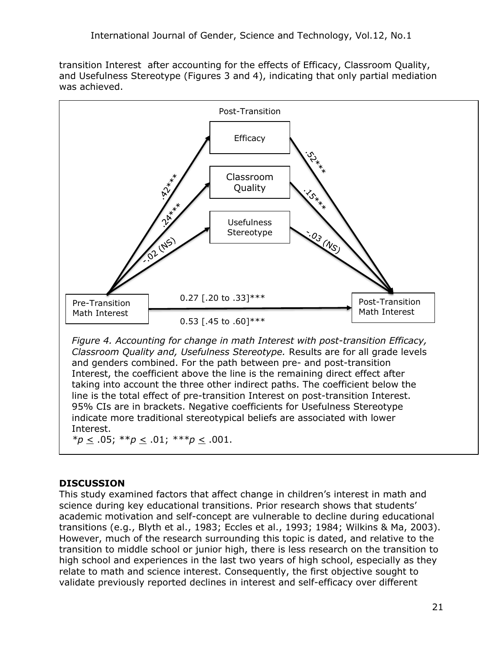transition Interest after accounting for the effects of Efficacy, Classroom Quality, and Usefulness Stereotype (Figures 3 and 4), indicating that only partial mediation was achieved.



Interest. *\*p* < .05; \*\**p* < .01; *\*\*\*p* < .001.

# **DISCUSSION**

This study examined factors that affect change in children's interest in math and science during key educational transitions. Prior research shows that students' academic motivation and self-concept are vulnerable to decline during educational transitions (e.g., Blyth et al., 1983; Eccles et al., 1993; 1984; Wilkins & Ma, 2003). However, much of the research surrounding this topic is dated, and relative to the transition to middle school or junior high, there is less research on the transition to high school and experiences in the last two years of high school, especially as they relate to math and science interest. Consequently, the first objective sought to validate previously reported declines in interest and self-efficacy over different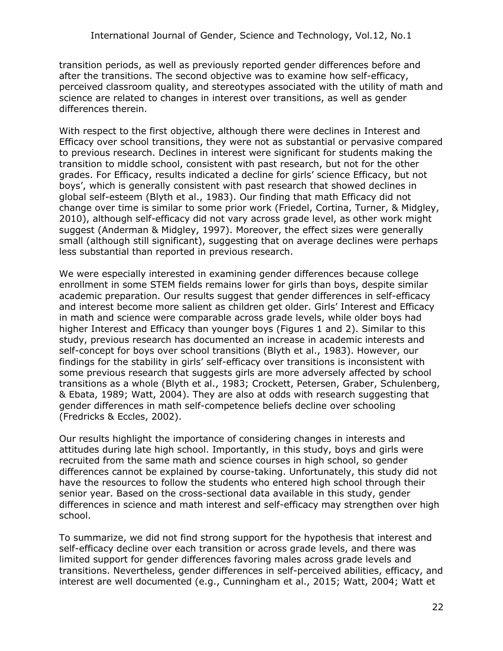transition periods, as well as previously reported gender differences before and after the transitions. The second objective was to examine how self-efficacy, perceived classroom quality, and stereotypes associated with the utility of math and science are related to changes in interest over transitions, as well as gender differences therein.

With respect to the first objective, although there were declines in Interest and Efficacy over school transitions, they were not as substantial or pervasive compared to previous research. Declines in interest were significant for students making the transition to middle school, consistent with past research, but not for the other grades. For Efficacy, results indicated a decline for girls' science Efficacy, but not boys', which is generally consistent with past research that showed declines in global self-esteem (Blyth et al., 1983). Our finding that math Efficacy did not change over time is similar to some prior work (Friedel, Cortina, Turner, & Midgley, 2010), although self-efficacy did not vary across grade level, as other work might suggest (Anderman & Midgley, 1997). Moreover, the effect sizes were generally small (although still significant), suggesting that on average declines were perhaps less substantial than reported in previous research.

We were especially interested in examining gender differences because college enrollment in some STEM fields remains lower for girls than boys, despite similar academic preparation. Our results suggest that gender differences in self-efficacy and interest become more salient as children get older. Girls' Interest and Efficacy in math and science were comparable across grade levels, while older boys had higher Interest and Efficacy than younger boys (Figures 1 and 2). Similar to this study, previous research has documented an increase in academic interests and self-concept for boys over school transitions (Blyth et al., 1983). However, our findings for the stability in girls' self-efficacy over transitions is inconsistent with some previous research that suggests girls are more adversely affected by school transitions as a whole (Blyth et al., 1983; Crockett, Petersen, Graber, Schulenberg, & Ebata, 1989; Watt, 2004). They are also at odds with research suggesting that gender differences in math self-competence beliefs decline over schooling (Fredricks & Eccles, 2002).

Our results highlight the importance of considering changes in interests and attitudes during late high school. Importantly, in this study, boys and girls were recruited from the same math and science courses in high school, so gender differences cannot be explained by course-taking. Unfortunately, this study did not have the resources to follow the students who entered high school through their senior year. Based on the cross-sectional data available in this study, gender differences in science and math interest and self-efficacy may strengthen over high school.

To summarize, we did not find strong support for the hypothesis that interest and self-efficacy decline over each transition or across grade levels, and there was limited support for gender differences favoring males across grade levels and transitions. Nevertheless, gender differences in self-perceived abilities, efficacy, and interest are well documented (e.g., Cunningham et al., 2015; Watt, 2004; Watt et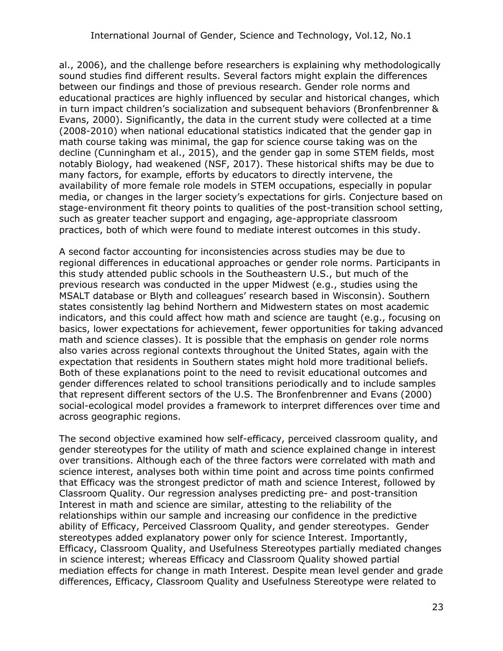al., 2006), and the challenge before researchers is explaining why methodologically sound studies find different results. Several factors might explain the differences between our findings and those of previous research. Gender role norms and educational practices are highly influenced by secular and historical changes, which in turn impact children's socialization and subsequent behaviors (Bronfenbrenner & Evans, 2000). Significantly, the data in the current study were collected at a time (2008-2010) when national educational statistics indicated that the gender gap in math course taking was minimal, the gap for science course taking was on the decline (Cunningham et al., 2015), and the gender gap in some STEM fields, most notably Biology, had weakened (NSF, 2017). These historical shifts may be due to many factors, for example, efforts by educators to directly intervene, the availability of more female role models in STEM occupations, especially in popular media, or changes in the larger society's expectations for girls. Conjecture based on stage-environment fit theory points to qualities of the post-transition school setting, such as greater teacher support and engaging, age-appropriate classroom practices, both of which were found to mediate interest outcomes in this study.

A second factor accounting for inconsistencies across studies may be due to regional differences in educational approaches or gender role norms. Participants in this study attended public schools in the Southeastern U.S., but much of the previous research was conducted in the upper Midwest (e.g., studies using the MSALT database or Blyth and colleagues' research based in Wisconsin). Southern states consistently lag behind Northern and Midwestern states on most academic indicators, and this could affect how math and science are taught (e.g., focusing on basics, lower expectations for achievement, fewer opportunities for taking advanced math and science classes). It is possible that the emphasis on gender role norms also varies across regional contexts throughout the United States, again with the expectation that residents in Southern states might hold more traditional beliefs. Both of these explanations point to the need to revisit educational outcomes and gender differences related to school transitions periodically and to include samples that represent different sectors of the U.S. The Bronfenbrenner and Evans (2000) social-ecological model provides a framework to interpret differences over time and across geographic regions.

The second objective examined how self-efficacy, perceived classroom quality, and gender stereotypes for the utility of math and science explained change in interest over transitions. Although each of the three factors were correlated with math and science interest, analyses both within time point and across time points confirmed that Efficacy was the strongest predictor of math and science Interest, followed by Classroom Quality. Our regression analyses predicting pre- and post-transition Interest in math and science are similar, attesting to the reliability of the relationships within our sample and increasing our confidence in the predictive ability of Efficacy, Perceived Classroom Quality, and gender stereotypes. Gender stereotypes added explanatory power only for science Interest. Importantly, Efficacy, Classroom Quality, and Usefulness Stereotypes partially mediated changes in science interest; whereas Efficacy and Classroom Quality showed partial mediation effects for change in math Interest. Despite mean level gender and grade differences, Efficacy, Classroom Quality and Usefulness Stereotype were related to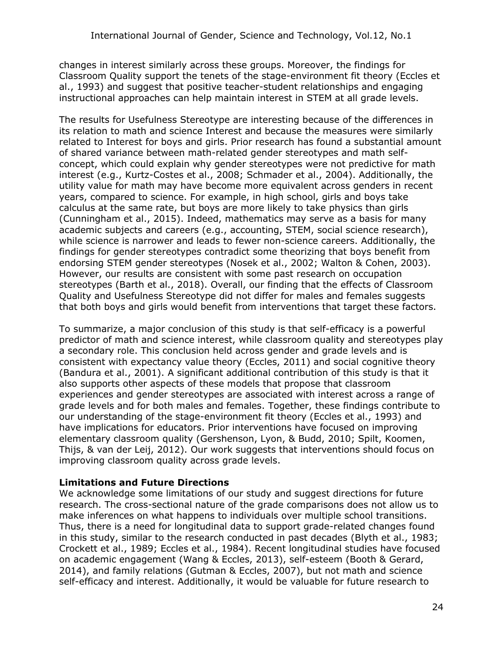changes in interest similarly across these groups. Moreover, the findings for Classroom Quality support the tenets of the stage-environment fit theory (Eccles et al., 1993) and suggest that positive teacher-student relationships and engaging instructional approaches can help maintain interest in STEM at all grade levels.

The results for Usefulness Stereotype are interesting because of the differences in its relation to math and science Interest and because the measures were similarly related to Interest for boys and girls. Prior research has found a substantial amount of shared variance between math-related gender stereotypes and math selfconcept, which could explain why gender stereotypes were not predictive for math interest (e.g., Kurtz-Costes et al., 2008; Schmader et al., 2004). Additionally, the utility value for math may have become more equivalent across genders in recent years, compared to science. For example, in high school, girls and boys take calculus at the same rate, but boys are more likely to take physics than girls (Cunningham et al., 2015). Indeed, mathematics may serve as a basis for many academic subjects and careers (e.g., accounting, STEM, social science research), while science is narrower and leads to fewer non-science careers. Additionally, the findings for gender stereotypes contradict some theorizing that boys benefit from endorsing STEM gender stereotypes (Nosek et al., 2002; Walton & Cohen, 2003). However, our results are consistent with some past research on occupation stereotypes (Barth et al., 2018). Overall, our finding that the effects of Classroom Quality and Usefulness Stereotype did not differ for males and females suggests that both boys and girls would benefit from interventions that target these factors.

To summarize, a major conclusion of this study is that self-efficacy is a powerful predictor of math and science interest, while classroom quality and stereotypes play a secondary role. This conclusion held across gender and grade levels and is consistent with expectancy value theory (Eccles, 2011) and social cognitive theory (Bandura et al., 2001). A significant additional contribution of this study is that it also supports other aspects of these models that propose that classroom experiences and gender stereotypes are associated with interest across a range of grade levels and for both males and females. Together, these findings contribute to our understanding of the stage-environment fit theory (Eccles et al., 1993) and have implications for educators. Prior interventions have focused on improving elementary classroom quality (Gershenson, Lyon, & Budd, 2010; Spilt, Koomen, Thijs, & van der Leij, 2012). Our work suggests that interventions should focus on improving classroom quality across grade levels.

#### **Limitations and Future Directions**

We acknowledge some limitations of our study and suggest directions for future research. The cross-sectional nature of the grade comparisons does not allow us to make inferences on what happens to individuals over multiple school transitions. Thus, there is a need for longitudinal data to support grade-related changes found in this study, similar to the research conducted in past decades (Blyth et al., 1983; Crockett et al., 1989; Eccles et al., 1984). Recent longitudinal studies have focused on academic engagement (Wang & Eccles, 2013), self-esteem (Booth & Gerard, 2014), and family relations (Gutman & Eccles, 2007), but not math and science self-efficacy and interest. Additionally, it would be valuable for future research to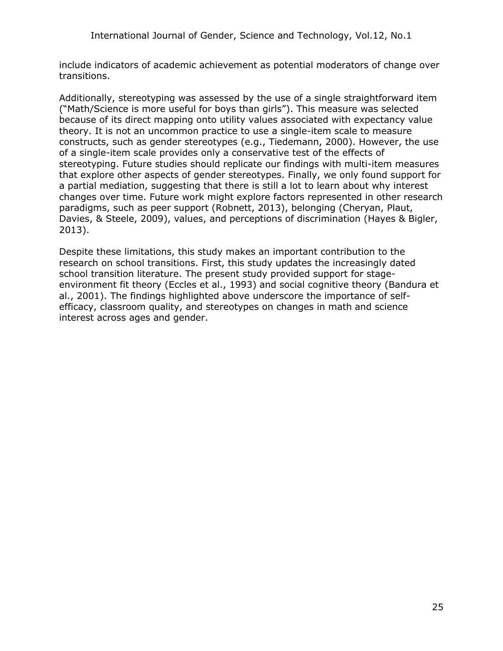include indicators of academic achievement as potential moderators of change over transitions.

Additionally, stereotyping was assessed by the use of a single straightforward item ("Math/Science is more useful for boys than girls"). This measure was selected because of its direct mapping onto utility values associated with expectancy value theory. It is not an uncommon practice to use a single-item scale to measure constructs, such as gender stereotypes (e.g., Tiedemann, 2000). However, the use of a single-item scale provides only a conservative test of the effects of stereotyping. Future studies should replicate our findings with multi-item measures that explore other aspects of gender stereotypes. Finally, we only found support for a partial mediation, suggesting that there is still a lot to learn about why interest changes over time. Future work might explore factors represented in other research paradigms, such as peer support (Robnett, 2013), belonging (Cheryan, Plaut, Davies, & Steele, 2009), values, and perceptions of discrimination (Hayes & Bigler, 2013).

Despite these limitations, this study makes an important contribution to the research on school transitions. First, this study updates the increasingly dated school transition literature. The present study provided support for stageenvironment fit theory (Eccles et al., 1993) and social cognitive theory (Bandura et al., 2001). The findings highlighted above underscore the importance of selfefficacy, classroom quality, and stereotypes on changes in math and science interest across ages and gender.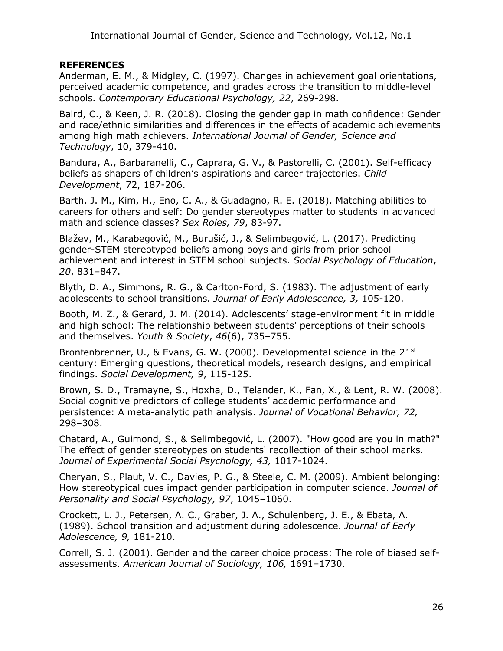#### **REFERENCES**

Anderman, E. M., & Midgley, C. (1997). Changes in achievement goal orientations, perceived academic competence, and grades across the transition to middle-level schools. *Contemporary Educational Psychology, 22*, 269-298.

Baird, C., & Keen, J. R. (2018). Closing the gender gap in math confidence: Gender and race/ethnic similarities and differences in the effects of academic achievements among high math achievers. *International Journal of Gender, Science and Technology*, 10, 379-410.

Bandura, A., Barbaranelli, C., Caprara, G. V., & Pastorelli, C. (2001). Self-efficacy beliefs as shapers of children's aspirations and career trajectories. *Child Development*, 72, 187-206.

Barth, J. M., Kim, H., Eno, C. A., & Guadagno, R. E. (2018). Matching abilities to careers for others and self: Do gender stereotypes matter to students in advanced math and science classes? *Sex Roles, 79*, 83-97.

Blažev, M., Karabegović, M., Burušić, J., & Selimbegović, L. (2017). Predicting gender-STEM stereotyped beliefs among boys and girls from prior school achievement and interest in STEM school subjects. *Social Psychology of Education*, *20*, 831–847.

Blyth, D. A., Simmons, R. G., & Carlton-Ford, S. (1983). The adjustment of early adolescents to school transitions. *Journal of Early Adolescence, 3,* 105-120.

Booth, M. Z., & Gerard, J. M. (2014). Adolescents' stage-environment fit in middle and high school: The relationship between students' perceptions of their schools and themselves. *Youth & Society*, *46*(6), 735–755.

Bronfenbrenner, U., & Evans, G. W. (2000). Developmental science in the 21<sup>st</sup> century: Emerging questions, theoretical models, research designs, and empirical findings. *Social Development, 9*, 115-125.

Brown, S. D., Tramayne, S., Hoxha, D., Telander, K., Fan, X., & Lent, R. W. (2008). Social cognitive predictors of college students' academic performance and persistence: A meta-analytic path analysis. *Journal of Vocational Behavior, 72,*  298–308.

Chatard, A., Guimond, S., & Selimbegović, L. (2007). "How good are you in math?" The effect of gender stereotypes on students' recollection of their school marks. *Journal of Experimental Social Psychology, 43,* 1017-1024.

Cheryan, S., Plaut, V. C., Davies, P. G., & Steele, C. M. (2009). Ambient belonging: How stereotypical cues impact gender participation in computer science. *Journal of Personality and Social Psychology, 97*, 1045–1060.

Crockett, L. J., Petersen, A. C., Graber, J. A., Schulenberg, J. E., & Ebata, A. (1989). School transition and adjustment during adolescence. *Journal of Early Adolescence, 9,* 181-210.

Correll, S. J. (2001). Gender and the career choice process: The role of biased selfassessments. *American Journal of Sociology, 106,* 1691–1730.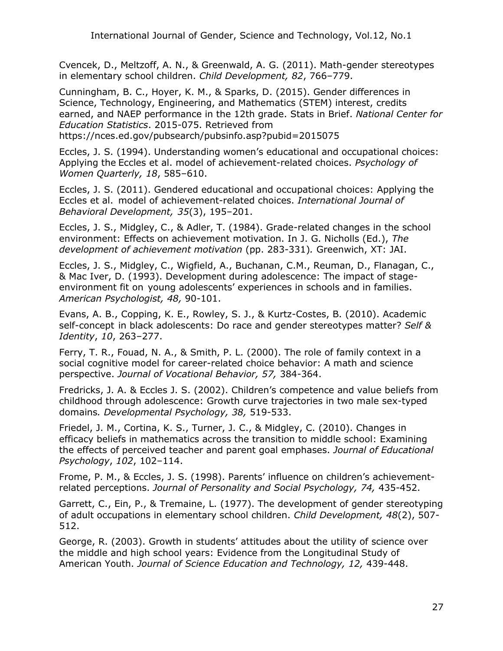Cvencek, D., Meltzoff, A. N., & Greenwald, A. G. (2011). Math-gender stereotypes in elementary school children. *Child Development, 82*, 766–779.

Cunningham, B. C., Hoyer, K. M., & Sparks, D. (2015). Gender differences in Science, Technology, Engineering, and Mathematics (STEM) interest, credits earned, and NAEP performance in the 12th grade. Stats in Brief. *National Center for Education Statistics*. 2015-075. Retrieved from https://nces.ed.gov/pubsearch/pubsinfo.asp?pubid=2015075

Eccles, J. S. (1994). Understanding women's educational and occupational choices: Applying the Eccles et al. model of achievement-related choices. *Psychology of Women Quarterly, 18*, 585–610.

Eccles, J. S. (2011). Gendered educational and occupational choices: Applying the Eccles et al. model of achievement-related choices. *International Journal of Behavioral Development, 35*(3), 195–201.

Eccles, J. S., Midgley, C., & Adler, T. (1984). Grade-related changes in the school environment: Effects on achievement motivation. In J. G. Nicholls (Ed.), *The development of achievement motivation* (pp. 283-331)*.* Greenwich, XT: JAI.

Eccles, J. S., Midgley, C., Wigfield, A., Buchanan, C.M., Reuman, D., Flanagan, C., & Mac Iver, D. (1993). Development during adolescence: The impact of stageenvironment fit on young adolescents' experiences in schools and in families. *American Psychologist, 48,* 90-101.

Evans, A. B., Copping, K. E., Rowley, S. J., & Kurtz-Costes, B. (2010). Academic self-concept in black adolescents: Do race and gender stereotypes matter? *Self & Identity*, *10*, 263–277.

Ferry, T. R., Fouad, N. A., & Smith, P. L. (2000). The role of family context in a social cognitive model for career-related choice behavior: A math and science perspective. *Journal of Vocational Behavior, 57,* 384-364.

Fredricks, J. A. & Eccles J. S. (2002). Children's competence and value beliefs from childhood through adolescence: Growth curve trajectories in two male sex-typed domains*. Developmental Psychology, 38,* 519-533.

Friedel, J. M., Cortina, K. S., Turner, J. C., & Midgley, C. (2010). Changes in efficacy beliefs in mathematics across the transition to middle school: Examining the effects of perceived teacher and parent goal emphases. *Journal of Educational Psychology*, *102*, 102–114.

Frome, P. M., & Eccles, J. S. (1998). Parents' influence on children's achievementrelated perceptions. *Journal of Personality and Social Psychology, 74,* 435-452.

Garrett, C., Ein, P., & Tremaine, L. (1977). The development of gender stereotyping of adult occupations in elementary school children. *Child Development, 48*(2), 507- 512.

George, R. (2003). Growth in students' attitudes about the utility of science over the middle and high school years: Evidence from the Longitudinal Study of American Youth. *Journal of Science Education and Technology, 12,* 439-448.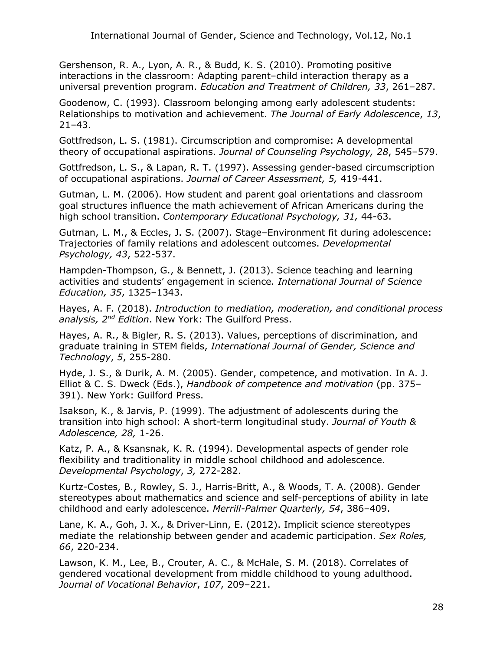Gershenson, R. A., Lyon, A. R., & Budd, K. S. (2010). Promoting positive interactions in the classroom: Adapting parent–child interaction therapy as a universal prevention program. *Education and Treatment of Children, 33*, 261–287.

Goodenow, C. (1993). Classroom belonging among early adolescent students: Relationships to motivation and achievement. *The Journal of Early Adolescence*, *13*, 21–43.

Gottfredson, L. S. (1981). Circumscription and compromise: A developmental theory of occupational aspirations. *Journal of Counseling Psychology, 28*, 545–579.

Gottfredson, L. S., & Lapan, R. T. (1997). Assessing gender-based circumscription of occupational aspirations. *Journal of Career Assessment, 5,* 419-441.

Gutman, L. M. (2006). How student and parent goal orientations and classroom goal structures influence the math achievement of African Americans during the high school transition. *Contemporary Educational Psychology, 31,* 44-63.

Gutman, L. M., & Eccles, J. S. (2007). Stage–Environment fit during adolescence: Trajectories of family relations and adolescent outcomes. *Developmental Psychology, 43*, 522-537.

Hampden-Thompson, G., & Bennett, J. (2013). Science teaching and learning activities and students' engagement in science*. International Journal of Science Education, 35*, 1325–1343.

Hayes, A. F. (2018). *Introduction to mediation, moderation, and conditional process analysis, 2nd Edition*. New York: The Guilford Press.

Hayes, A. R., & Bigler, R. S. (2013). Values, perceptions of discrimination, and graduate training in STEM fields, *International Journal of Gender, Science and Technology*, *5*, 255-280.

Hyde, J. S., & Durik, A. M. (2005). Gender, competence, and motivation. In A. J. Elliot & C. S. Dweck (Eds.), *Handbook of competence and motivation* (pp. 375– 391). New York: Guilford Press.

Isakson, K., & Jarvis, P. (1999). The adjustment of adolescents during the transition into high school: A short-term longitudinal study. *Journal of Youth & Adolescence, 28,* 1-26.

Katz, P. A., & Ksansnak, K. R. (1994). Developmental aspects of gender role flexibility and traditionality in middle school childhood and adolescence. *Developmental Psychology*, *3,* 272-282.

Kurtz-Costes, B., Rowley, S. J., Harris-Britt, A., & Woods, T. A. (2008). Gender stereotypes about mathematics and science and self-perceptions of ability in late childhood and early adolescence. *Merrill-Palmer Quarterly, 54*, 386–409.

Lane, K. A., Goh, J. X., & Driver-Linn, E. (2012). Implicit science stereotypes mediate the relationship between gender and academic participation. *Sex Roles, 66*, 220-234.

Lawson, K. M., Lee, B., Crouter, A. C., & McHale, S. M. (2018). Correlates of gendered vocational development from middle childhood to young adulthood. *Journal of Vocational Behavior*, *107*, 209–221.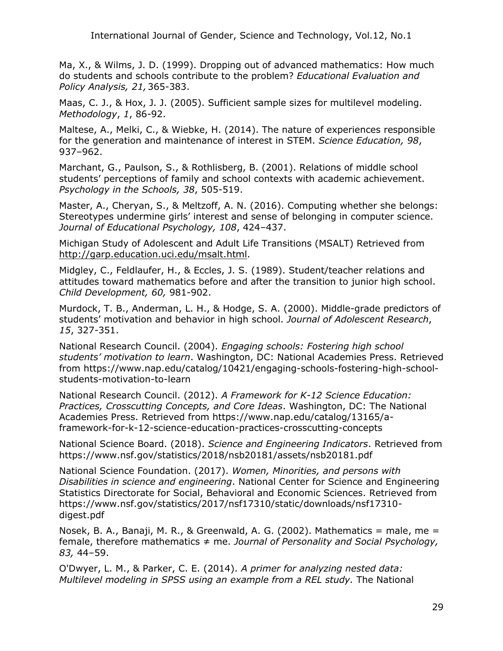Ma, X., & Wilms, J. D. (1999). Dropping out of advanced mathematics: How much do students and schools contribute to the problem? *Educational Evaluation and Policy Analysis, 21,*365-383.

Maas, C. J., & Hox, J. J. (2005). Sufficient sample sizes for multilevel modeling. *Methodology*, *1*, 86-92.

Maltese, A., Melki, C., & Wiebke, H. (2014). The nature of experiences responsible for the generation and maintenance of interest in STEM. *Science Education, 98*, 937–962.

Marchant, G., Paulson, S., & Rothlisberg, B. (2001). Relations of middle school students' perceptions of family and school contexts with academic achievement. *Psychology in the Schools, 38*, 505-519.

Master, A., Cheryan, S., & Meltzoff, A. N. (2016). Computing whether she belongs: Stereotypes undermine girls' interest and sense of belonging in computer science. *Journal of Educational Psychology, 108*, 424–437.

Michigan Study of Adolescent and Adult Life Transitions (MSALT) Retrieved from http://garp.education.uci.edu/msalt.html.

Midgley, C., Feldlaufer, H., & Eccles, J. S. (1989). Student/teacher relations and attitudes toward mathematics before and after the transition to junior high school. *Child Development, 60,* 981-902.

Murdock, T. B., Anderman, L. H., & Hodge, S. A. (2000). Middle-grade predictors of students' motivation and behavior in high school. *Journal of Adolescent Research*, *15*, 327-351.

National Research Council. (2004). *Engaging schools: Fostering high school students' motivation to learn*. Washington, DC: National Academies Press. Retrieved from https://www.nap.edu/catalog/10421/engaging-schools-fostering-high-schoolstudents-motivation-to-learn

National Research Council. (2012). *A Framework for K-12 Science Education: Practices, Crosscutting Concepts, and Core Ideas*. Washington, DC: The National Academies Press. Retrieved from https://www.nap.edu/catalog/13165/aframework-for-k-12-science-education-practices-crosscutting-concepts

National Science Board. (2018). *Science and Engineering Indicators*. Retrieved from https://www.nsf.gov/statistics/2018/nsb20181/assets/nsb20181.pdf

National Science Foundation. (2017). *Women, Minorities, and persons with Disabilities in science and engineering*. National Center for Science and Engineering Statistics Directorate for Social, Behavioral and Economic Sciences. Retrieved from https://www.nsf.gov/statistics/2017/nsf17310/static/downloads/nsf17310 digest.pdf

Nosek, B. A., Banaji, M. R., & Greenwald, A. G. (2002). Mathematics = male, me = female, therefore mathematics ≠ me. *Journal of Personality and Social Psychology, 83,* 44–59.

O'Dwyer, L. M., & Parker, C. E. (2014). *A primer for analyzing nested data: Multilevel modeling in SPSS using an example from a REL study.* The National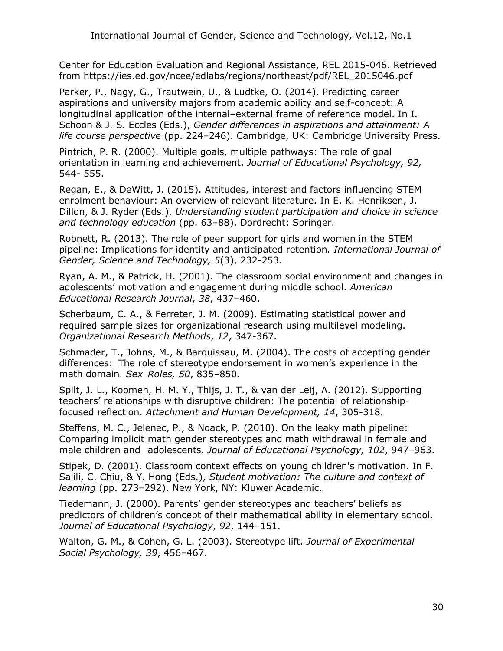Center for Education Evaluation and Regional Assistance, REL 2015-046. Retrieved from https://ies.ed.gov/ncee/edlabs/regions/northeast/pdf/REL\_2015046.pdf

Parker, P., Nagy, G., Trautwein, U., & Ludtke, O. (2014). Predicting career aspirations and university majors from academic ability and self-concept: A longitudinal application ofthe internal–external frame of reference model. In I. Schoon & J. S. Eccles (Eds.), *Gender differences in aspirations and attainment: A life course perspective* (pp. 224–246). Cambridge, UK: Cambridge University Press.

Pintrich, P. R. (2000). Multiple goals, multiple pathways: The role of goal orientation in learning and achievement. *Journal of Educational Psychology, 92,*  544- 555.

Regan, E., & DeWitt, J. (2015). Attitudes, interest and factors influencing STEM enrolment behaviour: An overview of relevant literature. In E. K. Henriksen, J. Dillon, & J. Ryder (Eds.), *Understanding student participation and choice in science and technology education* (pp. 63–88). Dordrecht: Springer.

Robnett, R. (2013). The role of peer support for girls and women in the STEM pipeline: Implications for identity and anticipated retention*. International Journal of Gender, Science and Technology, 5*(3), 232-253.

Ryan, A. M., & Patrick, H. (2001). The classroom social environment and changes in adolescents' motivation and engagement during middle school. *American Educational Research Journal*, *38*, 437–460.

Scherbaum, C. A., & Ferreter, J. M. (2009). Estimating statistical power and required sample sizes for organizational research using multilevel modeling. *Organizational Research Methods*, *12*, 347-367.

Schmader, T., Johns, M., & Barquissau, M. (2004). The costs of accepting gender differences: The role of stereotype endorsement in women's experience in the math domain. *Sex Roles, 50*, 835–850.

Spilt, J. L., Koomen, H. M. Y., Thijs, J. T., & van der Leij, A. (2012). Supporting teachers' relationships with disruptive children: The potential of relationshipfocused reflection. *Attachment and Human Development, 14*, 305-318.

Steffens, M. C., Jelenec, P., & Noack, P. (2010). On the leaky math pipeline: Comparing implicit math gender stereotypes and math withdrawal in female and male children and adolescents. *Journal of Educational Psychology, 102*, 947–963.

Stipek, D. (2001). Classroom context effects on young children's motivation. In F. Salili, C. Chiu, & Y. Hong (Eds.), *Student motivation: The culture and context of learning* (pp. 273–292). New York, NY: Kluwer Academic.

Tiedemann, J. (2000). Parents' gender stereotypes and teachers' beliefs as predictors of children's concept of their mathematical ability in elementary school. *Journal of Educational Psychology*, *92*, 144–151.

Walton, G. M., & Cohen, G. L. (2003). Stereotype lift. *Journal of Experimental Social Psychology, 39*, 456–467.